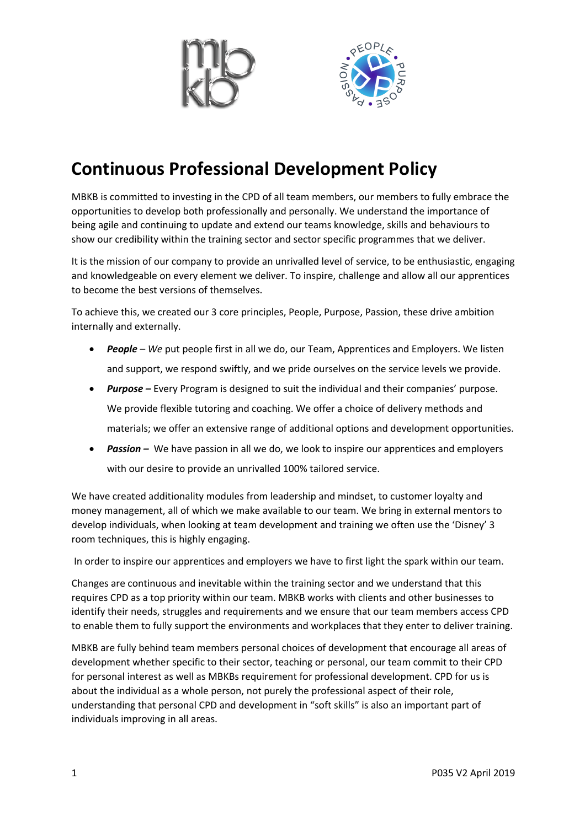

## **Continuous Professional Development Policy**

MBKB is committed to investing in the CPD of all team members, our members to fully embrace the opportunities to develop both professionally and personally. We understand the importance of being agile and continuing to update and extend our teams knowledge, skills and behaviours to show our credibility within the training sector and sector specific programmes that we deliver.

It is the mission of our company to provide an unrivalled level of service, to be enthusiastic, engaging and knowledgeable on every element we deliver. To inspire, challenge and allow all our apprentices to become the best versions of themselves.

To achieve this, we created our 3 core principles, People, Purpose, Passion, these drive ambition internally and externally.

- *People – We* put people first in all we do, our Team, Apprentices and Employers. We listen and support, we respond swiftly, and we pride ourselves on the service levels we provide.
- *Purpose –* Every Program is designed to suit the individual and their companies' purpose. We provide flexible tutoring and coaching. We offer a choice of delivery methods and materials; we offer an extensive range of additional options and development opportunities.
- **Passion** We have passion in all we do, we look to inspire our apprentices and employers with our desire to provide an unrivalled 100% tailored service.

We have created additionality modules from leadership and mindset, to customer loyalty and money management, all of which we make available to our team. We bring in external mentors to develop individuals, when looking at team development and training we often use the 'Disney' 3 room techniques, this is highly engaging.

In order to inspire our apprentices and employers we have to first light the spark within our team.

Changes are continuous and inevitable within the training sector and we understand that this requires CPD as a top priority within our team. MBKB works with clients and other businesses to identify their needs, struggles and requirements and we ensure that our team members access CPD to enable them to fully support the environments and workplaces that they enter to deliver training.

MBKB are fully behind team members personal choices of development that encourage all areas of development whether specific to their sector, teaching or personal, our team commit to their CPD for personal interest as well as MBKBs requirement for professional development. CPD for us is about the individual as a whole person, not purely the professional aspect of their role, understanding that personal CPD and development in "soft skills" is also an important part of individuals improving in all areas.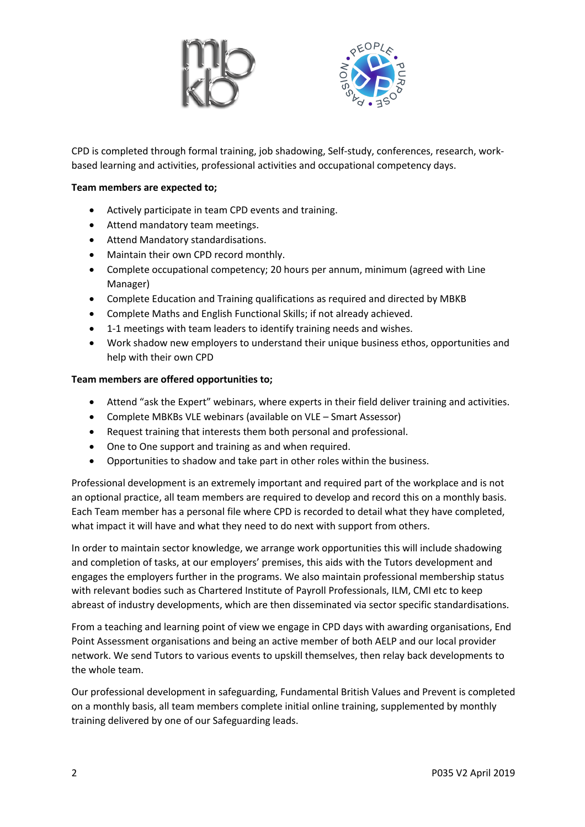



CPD is completed through formal training, job shadowing, Self-study, conferences, research, workbased learning and activities, professional activities and occupational competency days.

## **Team members are expected to;**

- Actively participate in team CPD events and training.
- Attend mandatory team meetings.
- Attend Mandatory standardisations.
- Maintain their own CPD record monthly.
- Complete occupational competency; 20 hours per annum, minimum (agreed with Line Manager)
- Complete Education and Training qualifications as required and directed by MBKB
- Complete Maths and English Functional Skills; if not already achieved.
- 1-1 meetings with team leaders to identify training needs and wishes.
- Work shadow new employers to understand their unique business ethos, opportunities and help with their own CPD

## **Team members are offered opportunities to;**

- Attend "ask the Expert" webinars, where experts in their field deliver training and activities.
- Complete MBKBs VLE webinars (available on VLE Smart Assessor)
- Request training that interests them both personal and professional.
- One to One support and training as and when required.
- Opportunities to shadow and take part in other roles within the business.

Professional development is an extremely important and required part of the workplace and is not an optional practice, all team members are required to develop and record this on a monthly basis. Each Team member has a personal file where CPD is recorded to detail what they have completed, what impact it will have and what they need to do next with support from others.

In order to maintain sector knowledge, we arrange work opportunities this will include shadowing and completion of tasks, at our employers' premises, this aids with the Tutors development and engages the employers further in the programs. We also maintain professional membership status with relevant bodies such as Chartered Institute of Payroll Professionals, ILM, CMI etc to keep abreast of industry developments, which are then disseminated via sector specific standardisations.

From a teaching and learning point of view we engage in CPD days with awarding organisations, End Point Assessment organisations and being an active member of both AELP and our local provider network. We send Tutors to various events to upskill themselves, then relay back developments to the whole team.

Our professional development in safeguarding, Fundamental British Values and Prevent is completed on a monthly basis, all team members complete initial online training, supplemented by monthly training delivered by one of our Safeguarding leads.